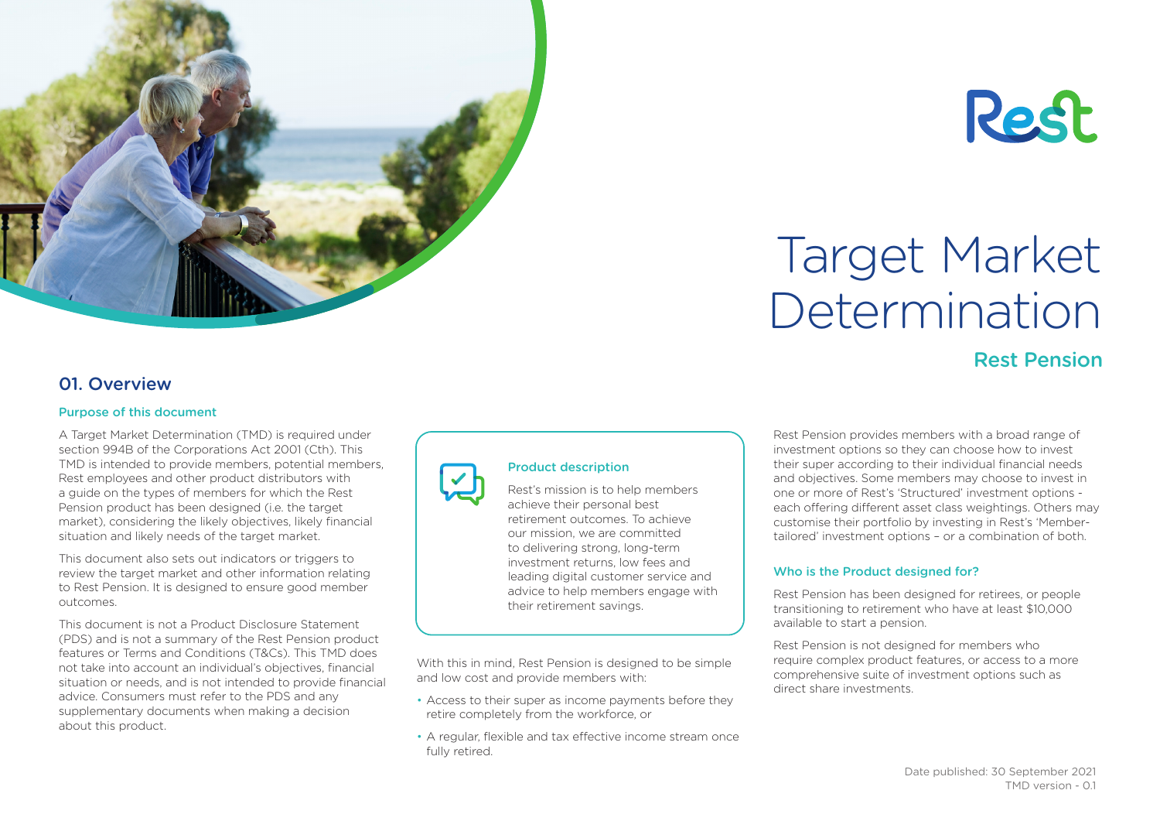



# Target Market Determination

# Rest Pension

## 01. Overview

#### Purpose of this document

A Target Market Determination (TMD) is required under section 994B of the Corporations Act 2001 (Cth). This TMD is intended to provide members, potential members, Rest employees and other product distributors with a guide on the types of members for which the Rest Pension product has been designed (i.e. the target market), considering the likely objectives, likely financial situation and likely needs of the target market.

This document also sets out indicators or triggers to review the target market and other information relating to Rest Pension. It is designed to ensure good member outcomes.

This document is not a Product Disclosure Statement (PDS) and is not a summary of the Rest Pension product features or Terms and Conditions (T&Cs). This TMD does not take into account an individual's objectives, financial situation or needs, and is not intended to provide financial advice. Consumers must refer to the PDS and any supplementary documents when making a decision about this product.



### Product description

Rest's mission is to help members achieve their personal best retirement outcomes. To achieve our mission, we are committed to delivering strong, long-term investment returns, low fees and leading digital customer service and advice to help members engage with their retirement savings.

With this in mind, Rest Pension is designed to be simple and low cost and provide members with:

- Access to their super as income payments before they retire completely from the workforce, or
- A regular, flexible and tax effective income stream once fully retired.

Rest Pension provides members with a broad range of investment options so they can choose how to invest their super according to their individual financial needs and objectives. Some members may choose to invest in one or more of Rest's 'Structured' investment options each offering different asset class weightings. Others may customise their portfolio by investing in Rest's 'Membertailored' investment options – or a combination of both.

## Who is the Product designed for?

Rest Pension has been designed for retirees, or people transitioning to retirement who have at least \$10,000 available to start a pension.

Rest Pension is not designed for members who require complex product features, or access to a more comprehensive suite of investment options such as direct share investments.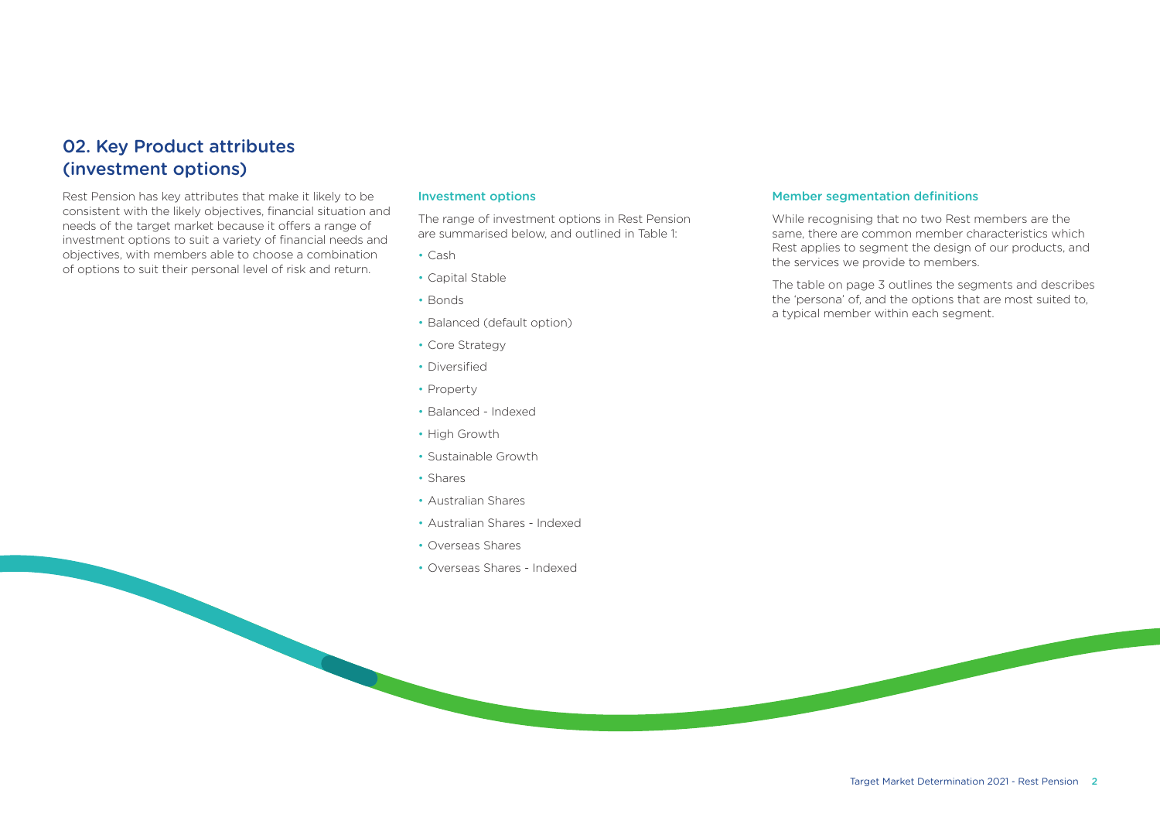## 02. Key Product attributes (investment options)

Rest Pension has key attributes that make it likely to be consistent with the likely objectives, financial situation and needs of the target market because it offers a range of investment options to suit a variety of financial needs and objectives, with members able to choose a combination of options to suit their personal level of risk and return.

#### Investment options

The range of investment options in Rest Pension are summarised below, and outlined in Table 1:

- Cash
- Capital Stable
- Bonds
- Balanced (default option)
- Core Strategy
- Diversified
- Property
- Balanced Indexed
- High Growth
- Sustainable Growth
- Shares
- Australian Shares
- Australian Shares Indexed
- Overseas Shares
- Overseas Shares Indexed

#### Member segmentation definitions

While recognising that no two Rest members are the same, there are common member characteristics which Rest applies to segment the design of our products, and the services we provide to members.

The table on page 3 outlines the segments and describes the 'persona' of, and the options that are most suited to, a typical member within each segment.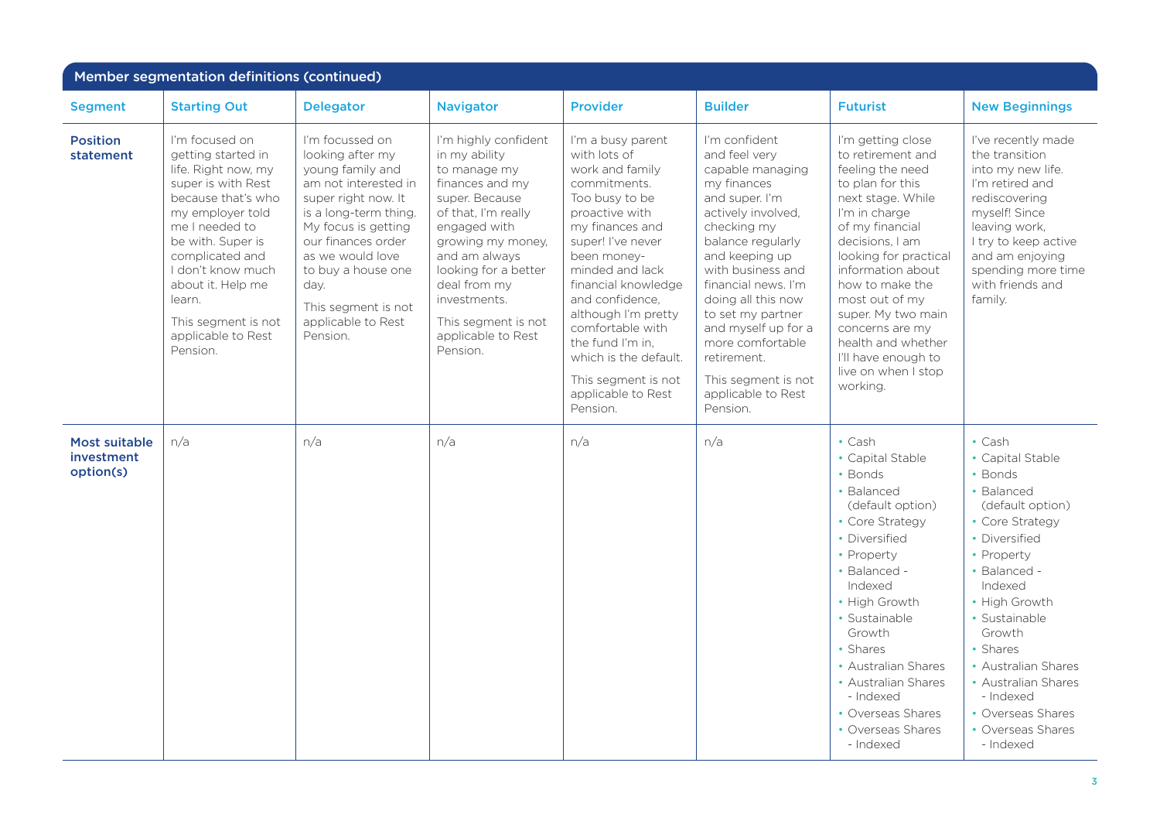| Member segmentation definitions (continued) |                                                                                                                                                                                                                                                                                                    |                                                                                                                                                                                                                                                                                         |                                                                                                                                                                                                                                                                                          |                                                                                                                                                                                                                                                                                                                                                                               |                                                                                                                                                                                                                                                                                                                                                                           |                                                                                                                                                                                                                                                                                                                                                                        |                                                                                                                                                                                                                                                                                                                                      |
|---------------------------------------------|----------------------------------------------------------------------------------------------------------------------------------------------------------------------------------------------------------------------------------------------------------------------------------------------------|-----------------------------------------------------------------------------------------------------------------------------------------------------------------------------------------------------------------------------------------------------------------------------------------|------------------------------------------------------------------------------------------------------------------------------------------------------------------------------------------------------------------------------------------------------------------------------------------|-------------------------------------------------------------------------------------------------------------------------------------------------------------------------------------------------------------------------------------------------------------------------------------------------------------------------------------------------------------------------------|---------------------------------------------------------------------------------------------------------------------------------------------------------------------------------------------------------------------------------------------------------------------------------------------------------------------------------------------------------------------------|------------------------------------------------------------------------------------------------------------------------------------------------------------------------------------------------------------------------------------------------------------------------------------------------------------------------------------------------------------------------|--------------------------------------------------------------------------------------------------------------------------------------------------------------------------------------------------------------------------------------------------------------------------------------------------------------------------------------|
| <b>Segment</b>                              | <b>Starting Out</b>                                                                                                                                                                                                                                                                                | <b>Delegator</b>                                                                                                                                                                                                                                                                        | <b>Navigator</b>                                                                                                                                                                                                                                                                         | <b>Provider</b>                                                                                                                                                                                                                                                                                                                                                               | <b>Builder</b>                                                                                                                                                                                                                                                                                                                                                            | <b>Futurist</b>                                                                                                                                                                                                                                                                                                                                                        | <b>New Beginnings</b>                                                                                                                                                                                                                                                                                                                |
| <b>Position</b><br>statement                | I'm focused on<br>getting started in<br>life. Right now, my<br>super is with Rest<br>because that's who<br>my employer told<br>me I needed to<br>be with. Super is<br>complicated and<br>I don't know much<br>about it. Help me<br>learn.<br>This segment is not<br>applicable to Rest<br>Pension. | I'm focussed on<br>looking after my<br>young family and<br>am not interested in<br>super right now. It<br>is a long-term thing.<br>My focus is getting<br>our finances order<br>as we would love<br>to buy a house one<br>day.<br>This segment is not<br>applicable to Rest<br>Pension. | I'm highly confident<br>in my ability<br>to manage my<br>finances and my<br>super. Because<br>of that, I'm really<br>engaged with<br>growing my money,<br>and am always<br>looking for a better<br>deal from my<br>investments.<br>This segment is not<br>applicable to Rest<br>Pension. | I'm a busy parent<br>with lots of<br>work and family<br>commitments.<br>Too busy to be<br>proactive with<br>my finances and<br>super! I've never<br>been money-<br>minded and lack<br>financial knowledge<br>and confidence,<br>although I'm pretty<br>comfortable with<br>the fund I'm in.<br>which is the default.<br>This segment is not<br>applicable to Rest<br>Pension. | I'm confident<br>and feel very<br>capable managing<br>my finances<br>and super. I'm<br>actively involved.<br>checking my<br>balance regularly<br>and keeping up<br>with business and<br>financial news. I'm<br>doing all this now<br>to set my partner<br>and myself up for a<br>more comfortable<br>retirement.<br>This segment is not<br>applicable to Rest<br>Pension. | I'm getting close<br>to retirement and<br>feeling the need<br>to plan for this<br>next stage. While<br>I'm in charge<br>of my financial<br>decisions, I am<br>looking for practical<br>information about<br>how to make the<br>most out of my<br>super. My two main<br>concerns are my<br>health and whether<br>I'll have enough to<br>live on when I stop<br>working. | I've recently made<br>the transition<br>into my new life.<br>I'm retired and<br>rediscovering<br>myself! Since<br>leaving work,<br>I try to keep active<br>and am enjoying<br>spending more time<br>with friends and<br>family.                                                                                                      |
| Most suitable<br>investment<br>option(s)    | n/a                                                                                                                                                                                                                                                                                                | n/a                                                                                                                                                                                                                                                                                     | n/a                                                                                                                                                                                                                                                                                      | n/a                                                                                                                                                                                                                                                                                                                                                                           | n/a                                                                                                                                                                                                                                                                                                                                                                       | $\cdot$ Cash<br>• Capital Stable<br>• Bonds<br>• Balanced<br>(default option)<br>• Core Strategy<br>• Diversified<br>• Property<br>• Balanced -<br>Indexed<br>• High Growth<br>· Sustainable<br>Growth<br>• Shares<br>• Australian Shares<br>• Australian Shares<br>- Indexed<br>• Overseas Shares<br>• Overseas Shares<br>- Indexed                                   | $\cdot$ Cash<br>• Capital Stable<br>• Bonds<br>• Balanced<br>(default option)<br>• Core Strategy<br>• Diversified<br>• Property<br>• Balanced -<br>Indexed<br>• High Growth<br>· Sustainable<br>Growth<br>• Shares<br>• Australian Shares<br>• Australian Shares<br>- Indexed<br>• Overseas Shares<br>• Overseas Shares<br>- Indexed |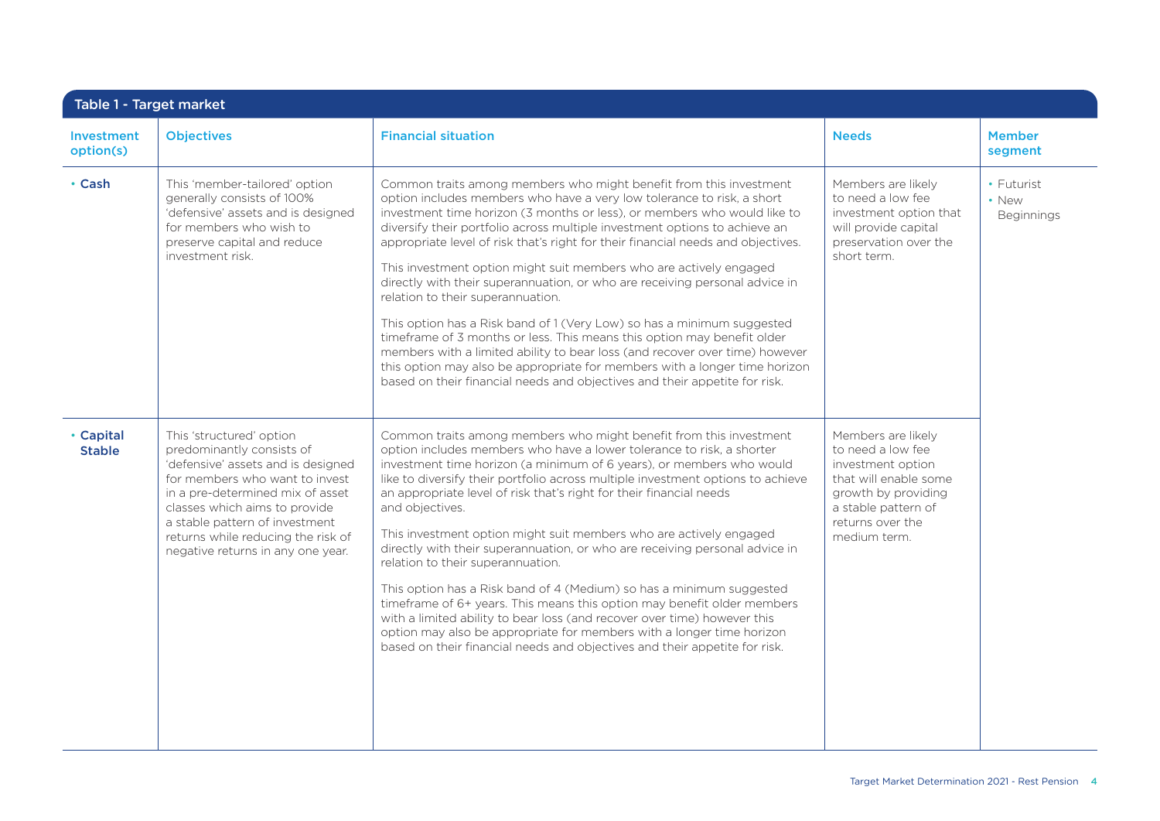| Investment<br>option(s)    | <b>Objectives</b>                                                                                                                                                                                                                                                                                               | <b>Financial situation</b>                                                                                                                                                                                                                                                                                                                                                                                                                                                                                                                                                                                                                                                                                                                                                                                                                                                                                                                                                           | <b>Needs</b>                                                                                                                                                            | <b>Member</b><br>segment          |
|----------------------------|-----------------------------------------------------------------------------------------------------------------------------------------------------------------------------------------------------------------------------------------------------------------------------------------------------------------|--------------------------------------------------------------------------------------------------------------------------------------------------------------------------------------------------------------------------------------------------------------------------------------------------------------------------------------------------------------------------------------------------------------------------------------------------------------------------------------------------------------------------------------------------------------------------------------------------------------------------------------------------------------------------------------------------------------------------------------------------------------------------------------------------------------------------------------------------------------------------------------------------------------------------------------------------------------------------------------|-------------------------------------------------------------------------------------------------------------------------------------------------------------------------|-----------------------------------|
| • Cash                     | This 'member-tailored' option<br>generally consists of 100%<br>'defensive' assets and is designed<br>for members who wish to<br>preserve capital and reduce<br>investment risk.                                                                                                                                 | Common traits among members who might benefit from this investment<br>option includes members who have a very low tolerance to risk, a short<br>investment time horizon (3 months or less), or members who would like to<br>diversify their portfolio across multiple investment options to achieve an<br>appropriate level of risk that's right for their financial needs and objectives.<br>This investment option might suit members who are actively engaged<br>directly with their superannuation, or who are receiving personal advice in<br>relation to their superannuation.<br>This option has a Risk band of 1 (Very Low) so has a minimum suggested<br>timeframe of 3 months or less. This means this option may benefit older<br>members with a limited ability to bear loss (and recover over time) however<br>this option may also be appropriate for members with a longer time horizon<br>based on their financial needs and objectives and their appetite for risk. | Members are likely<br>to need a low fee<br>investment option that<br>will provide capital<br>preservation over the<br>short term.                                       | • Futurist<br>• New<br>Beginnings |
| • Capital<br><b>Stable</b> | This 'structured' option<br>predominantly consists of<br>'defensive' assets and is designed<br>for members who want to invest<br>in a pre-determined mix of asset<br>classes which aims to provide<br>a stable pattern of investment<br>returns while reducing the risk of<br>negative returns in any one year. | Common traits among members who might benefit from this investment<br>option includes members who have a lower tolerance to risk, a shorter<br>investment time horizon (a minimum of 6 years), or members who would<br>like to diversify their portfolio across multiple investment options to achieve<br>an appropriate level of risk that's right for their financial needs<br>and objectives.<br>This investment option might suit members who are actively engaged<br>directly with their superannuation, or who are receiving personal advice in<br>relation to their superannuation.<br>This option has a Risk band of 4 (Medium) so has a minimum suggested<br>timeframe of 6+ years. This means this option may benefit older members<br>with a limited ability to bear loss (and recover over time) however this<br>option may also be appropriate for members with a longer time horizon<br>based on their financial needs and objectives and their appetite for risk.     | Members are likely<br>to need a low fee<br>investment option<br>that will enable some<br>growth by providing<br>a stable pattern of<br>returns over the<br>medium term. |                                   |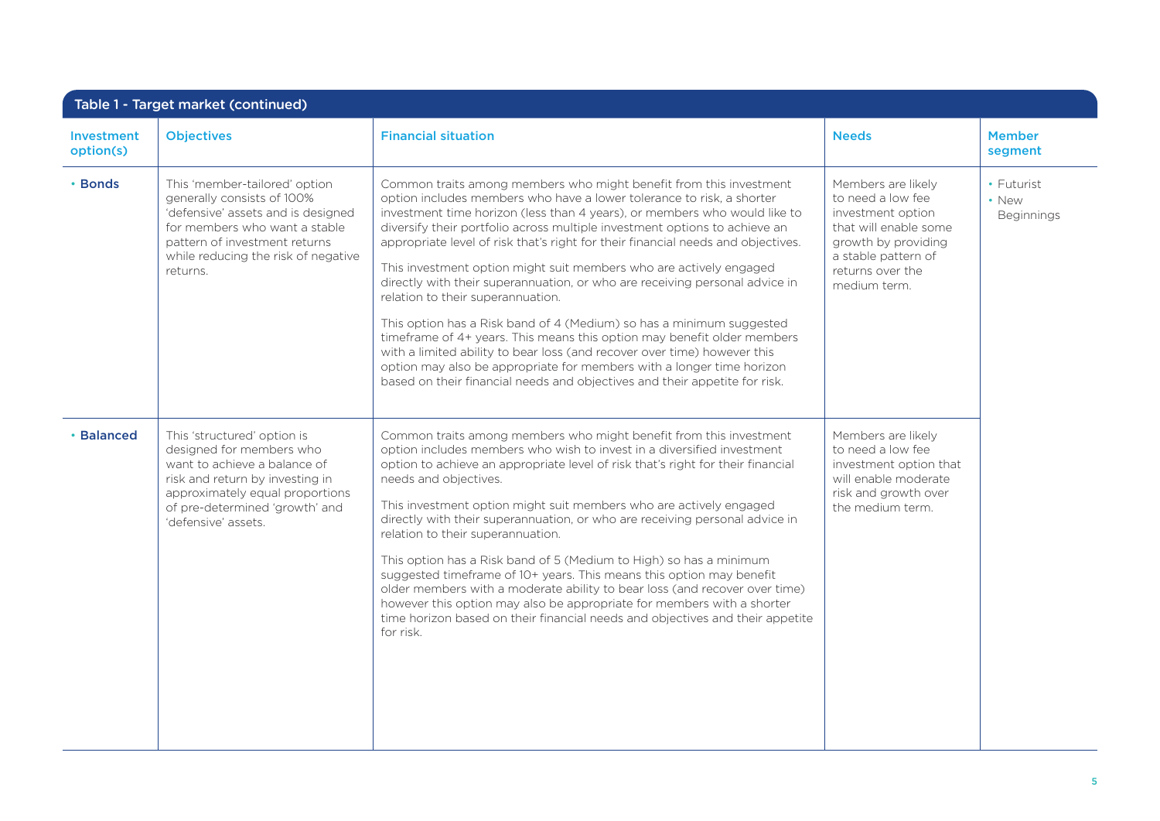| <b>Investment</b><br>option(s) | <b>Objectives</b>                                                                                                                                                                                                      | <b>Financial situation</b>                                                                                                                                                                                                                                                                                                                                                                                                                                                                                                                                                                                                                                                                                                                                                                                                                                                                                                                                                 | <b>Needs</b>                                                                                                                                                            | <b>Member</b><br>segment          |
|--------------------------------|------------------------------------------------------------------------------------------------------------------------------------------------------------------------------------------------------------------------|----------------------------------------------------------------------------------------------------------------------------------------------------------------------------------------------------------------------------------------------------------------------------------------------------------------------------------------------------------------------------------------------------------------------------------------------------------------------------------------------------------------------------------------------------------------------------------------------------------------------------------------------------------------------------------------------------------------------------------------------------------------------------------------------------------------------------------------------------------------------------------------------------------------------------------------------------------------------------|-------------------------------------------------------------------------------------------------------------------------------------------------------------------------|-----------------------------------|
| • Bonds                        | This 'member-tailored' option<br>generally consists of 100%<br>'defensive' assets and is designed<br>for members who want a stable<br>pattern of investment returns<br>while reducing the risk of negative<br>returns. | Common traits among members who might benefit from this investment<br>option includes members who have a lower tolerance to risk, a shorter<br>investment time horizon (less than 4 years), or members who would like to<br>diversify their portfolio across multiple investment options to achieve an<br>appropriate level of risk that's right for their financial needs and objectives.<br>This investment option might suit members who are actively engaged<br>directly with their superannuation, or who are receiving personal advice in<br>relation to their superannuation.<br>This option has a Risk band of 4 (Medium) so has a minimum suggested<br>timeframe of 4+ years. This means this option may benefit older members<br>with a limited ability to bear loss (and recover over time) however this<br>option may also be appropriate for members with a longer time horizon<br>based on their financial needs and objectives and their appetite for risk. | Members are likely<br>to need a low fee<br>investment option<br>that will enable some<br>growth by providing<br>a stable pattern of<br>returns over the<br>medium term. | • Futurist<br>• New<br>Beginnings |
| <b>Balanced</b>                | This 'structured' option is<br>designed for members who<br>want to achieve a balance of<br>risk and return by investing in<br>approximately equal proportions<br>of pre-determined 'growth' and<br>'defensive' assets. | Common traits among members who might benefit from this investment<br>option includes members who wish to invest in a diversified investment<br>option to achieve an appropriate level of risk that's right for their financial<br>needs and objectives.<br>This investment option might suit members who are actively engaged<br>directly with their superannuation, or who are receiving personal advice in<br>relation to their superannuation.<br>This option has a Risk band of 5 (Medium to High) so has a minimum<br>suggested timeframe of 10+ years. This means this option may benefit<br>older members with a moderate ability to bear loss (and recover over time)<br>however this option may also be appropriate for members with a shorter<br>time horizon based on their financial needs and objectives and their appetite<br>for risk.                                                                                                                     | Members are likely<br>to need a low fee<br>investment option that<br>will enable moderate<br>risk and growth over<br>the medium term.                                   |                                   |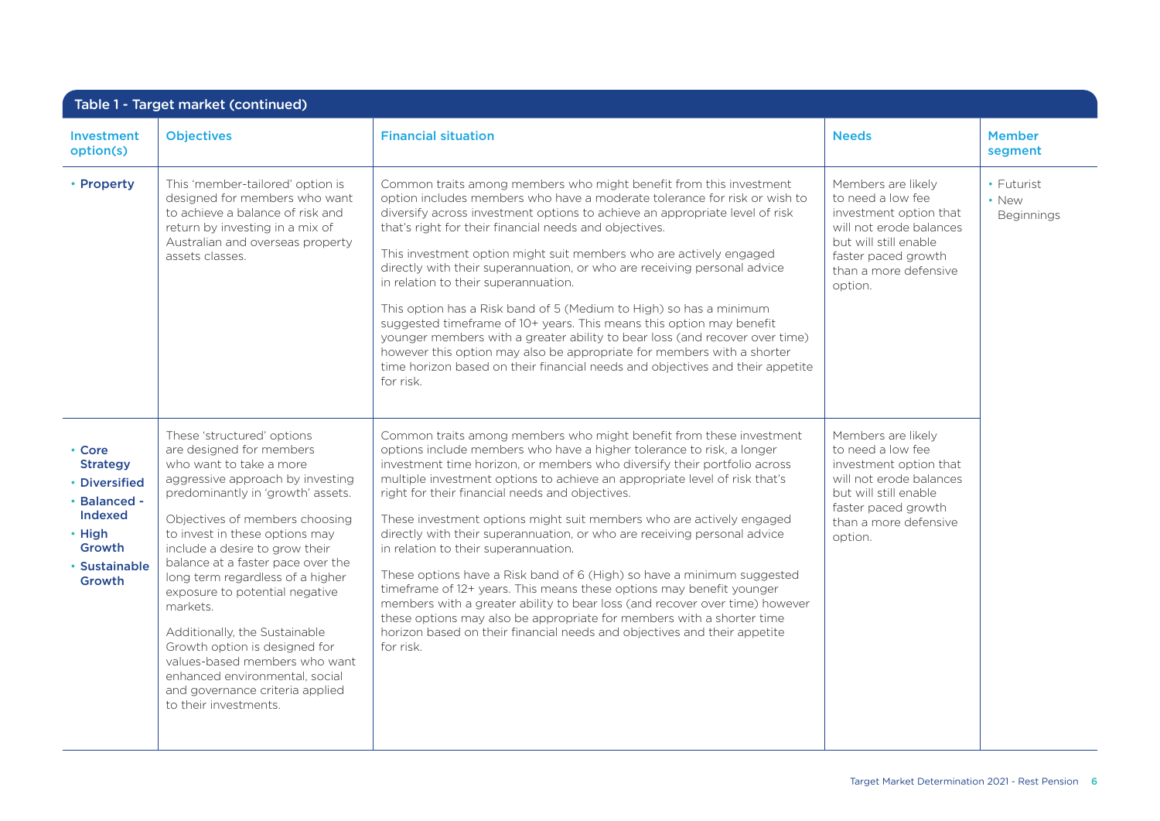| Table 1 - Target market (continued)                                                                                         |                                                                                                                                                                                                                                                                                                                                                                                                                                                                                                                                                                                          |                                                                                                                                                                                                                                                                                                                                                                                                                                                                                                                                                                                                                                                                                                                                                                                                                                                                                                                                                          |                                                                                                                                                                                  |                                   |  |
|-----------------------------------------------------------------------------------------------------------------------------|------------------------------------------------------------------------------------------------------------------------------------------------------------------------------------------------------------------------------------------------------------------------------------------------------------------------------------------------------------------------------------------------------------------------------------------------------------------------------------------------------------------------------------------------------------------------------------------|----------------------------------------------------------------------------------------------------------------------------------------------------------------------------------------------------------------------------------------------------------------------------------------------------------------------------------------------------------------------------------------------------------------------------------------------------------------------------------------------------------------------------------------------------------------------------------------------------------------------------------------------------------------------------------------------------------------------------------------------------------------------------------------------------------------------------------------------------------------------------------------------------------------------------------------------------------|----------------------------------------------------------------------------------------------------------------------------------------------------------------------------------|-----------------------------------|--|
| <b>Investment</b><br>option(s)                                                                                              | <b>Objectives</b>                                                                                                                                                                                                                                                                                                                                                                                                                                                                                                                                                                        | <b>Financial situation</b>                                                                                                                                                                                                                                                                                                                                                                                                                                                                                                                                                                                                                                                                                                                                                                                                                                                                                                                               | <b>Needs</b>                                                                                                                                                                     | <b>Member</b><br>segment          |  |
| • Property                                                                                                                  | This 'member-tailored' option is<br>designed for members who want<br>to achieve a balance of risk and<br>return by investing in a mix of<br>Australian and overseas property<br>assets classes.                                                                                                                                                                                                                                                                                                                                                                                          | Common traits among members who might benefit from this investment<br>option includes members who have a moderate tolerance for risk or wish to<br>diversify across investment options to achieve an appropriate level of risk<br>that's right for their financial needs and objectives.<br>This investment option might suit members who are actively engaged<br>directly with their superannuation, or who are receiving personal advice<br>in relation to their superannuation.<br>This option has a Risk band of 5 (Medium to High) so has a minimum<br>suggested timeframe of 10+ years. This means this option may benefit<br>younger members with a greater ability to bear loss (and recover over time)<br>however this option may also be appropriate for members with a shorter<br>time horizon based on their financial needs and objectives and their appetite<br>for risk.                                                                  | Members are likely<br>to need a low fee<br>investment option that<br>will not erode balances<br>but will still enable<br>faster paced growth<br>than a more defensive<br>option. | • Futurist<br>• New<br>Beginnings |  |
| • Core<br><b>Strategy</b><br>• Diversified<br>· Balanced -<br><b>Indexed</b><br>• High<br>Growth<br>• Sustainable<br>Growth | These 'structured' options<br>are designed for members<br>who want to take a more<br>aggressive approach by investing<br>predominantly in 'growth' assets.<br>Objectives of members choosing<br>to invest in these options may<br>include a desire to grow their<br>balance at a faster pace over the<br>long term regardless of a higher<br>exposure to potential negative<br>markets.<br>Additionally, the Sustainable<br>Growth option is designed for<br>values-based members who want<br>enhanced environmental, social<br>and governance criteria applied<br>to their investments. | Common traits among members who might benefit from these investment<br>options include members who have a higher tolerance to risk, a longer<br>investment time horizon, or members who diversify their portfolio across<br>multiple investment options to achieve an appropriate level of risk that's<br>right for their financial needs and objectives.<br>These investment options might suit members who are actively engaged<br>directly with their superannuation, or who are receiving personal advice<br>in relation to their superannuation.<br>These options have a Risk band of 6 (High) so have a minimum suggested<br>timeframe of 12+ years. This means these options may benefit younger<br>members with a greater ability to bear loss (and recover over time) however<br>these options may also be appropriate for members with a shorter time<br>horizon based on their financial needs and objectives and their appetite<br>for risk. | Members are likely<br>to need a low fee<br>investment option that<br>will not erode balances<br>but will still enable<br>faster paced growth<br>than a more defensive<br>option. |                                   |  |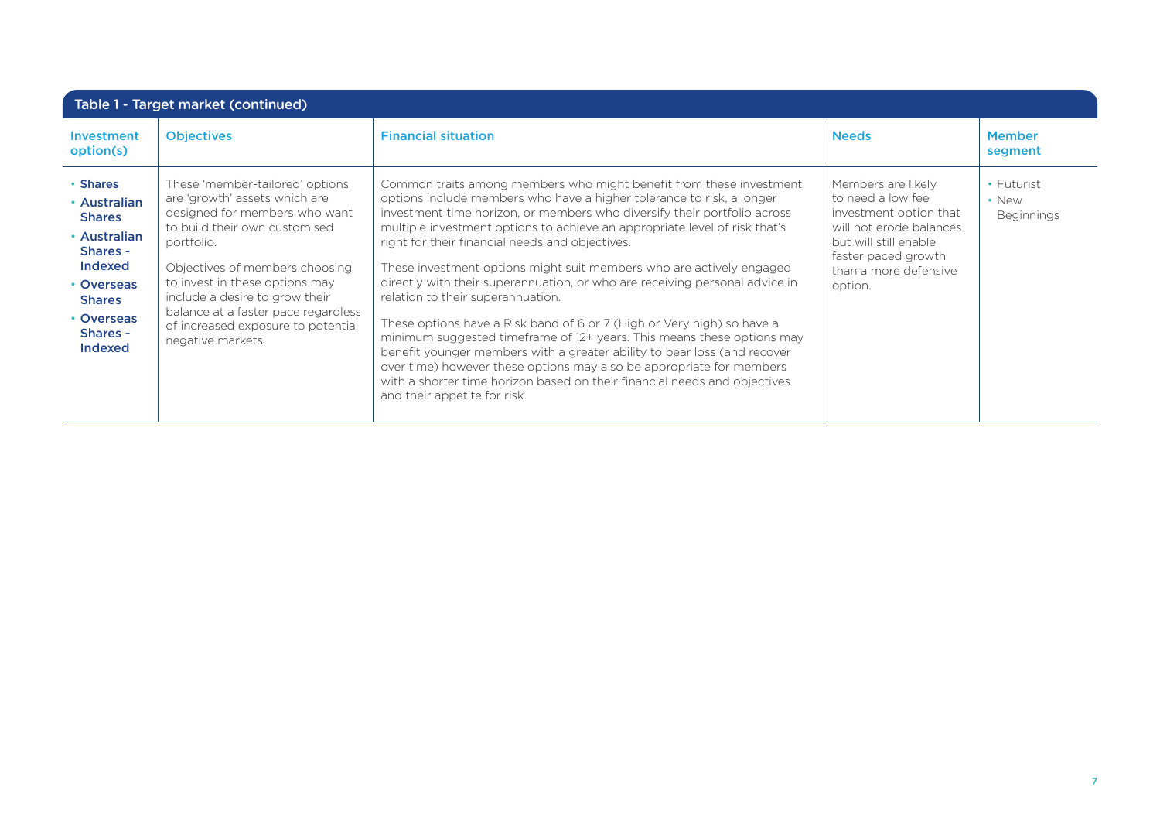| Table 1 - Target market (continued)                                                                                                                                       |                                                                                                                                                                                                                                                                                                                                                          |                                                                                                                                                                                                                                                                                                                                                                                                                                                                                                                                                                                                                                                                                                                                                                                                                                                                                                                                                                            |                                                                                                                                                                                  |                                                      |
|---------------------------------------------------------------------------------------------------------------------------------------------------------------------------|----------------------------------------------------------------------------------------------------------------------------------------------------------------------------------------------------------------------------------------------------------------------------------------------------------------------------------------------------------|----------------------------------------------------------------------------------------------------------------------------------------------------------------------------------------------------------------------------------------------------------------------------------------------------------------------------------------------------------------------------------------------------------------------------------------------------------------------------------------------------------------------------------------------------------------------------------------------------------------------------------------------------------------------------------------------------------------------------------------------------------------------------------------------------------------------------------------------------------------------------------------------------------------------------------------------------------------------------|----------------------------------------------------------------------------------------------------------------------------------------------------------------------------------|------------------------------------------------------|
| Investment<br>option(s)                                                                                                                                                   | <b>Objectives</b>                                                                                                                                                                                                                                                                                                                                        | <b>Financial situation</b>                                                                                                                                                                                                                                                                                                                                                                                                                                                                                                                                                                                                                                                                                                                                                                                                                                                                                                                                                 | <b>Needs</b>                                                                                                                                                                     | <b>Member</b><br>segment                             |
| • Shares<br>• Australian<br><b>Shares</b><br>• Australian<br>Shares -<br><b>Indexed</b><br>• Overseas<br><b>Shares</b><br>• Overseas<br><b>Shares -</b><br><b>Indexed</b> | These 'member-tailored' options<br>are 'growth' assets which are<br>designed for members who want<br>to build their own customised<br>portfolio.<br>Objectives of members choosing<br>to invest in these options may<br>include a desire to grow their<br>balance at a faster pace regardless<br>of increased exposure to potential<br>negative markets. | Common traits among members who might benefit from these investment<br>options include members who have a higher tolerance to risk, a longer<br>investment time horizon, or members who diversify their portfolio across<br>multiple investment options to achieve an appropriate level of risk that's<br>right for their financial needs and objectives.<br>These investment options might suit members who are actively engaged<br>directly with their superannuation, or who are receiving personal advice in<br>relation to their superannuation.<br>These options have a Risk band of 6 or 7 (High or Very high) so have a<br>minimum suggested timeframe of 12+ years. This means these options may<br>benefit younger members with a greater ability to bear loss (and recover<br>over time) however these options may also be appropriate for members<br>with a shorter time horizon based on their financial needs and objectives<br>and their appetite for risk. | Members are likely<br>to need a low fee<br>investment option that<br>will not erode balances<br>but will still enable<br>faster paced growth<br>than a more defensive<br>option. | $\cdot$ Futurist<br>$\cdot$ New<br><b>Beginnings</b> |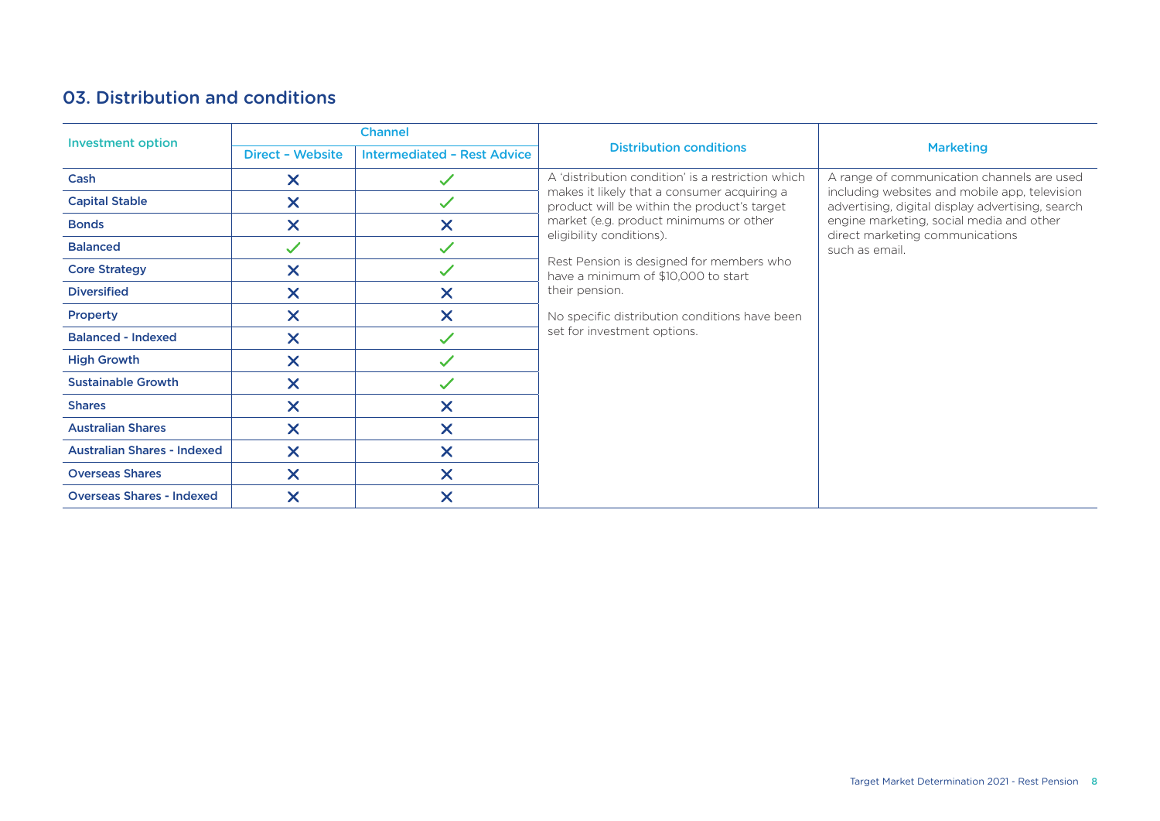## 03. Distribution and conditions

| <b>Investment option</b>           | <b>Channel</b>                                                |                           |                                                                                                                                                                                                                                                                                                                                                                         | <b>Marketing</b>                                                                                  |  |  |
|------------------------------------|---------------------------------------------------------------|---------------------------|-------------------------------------------------------------------------------------------------------------------------------------------------------------------------------------------------------------------------------------------------------------------------------------------------------------------------------------------------------------------------|---------------------------------------------------------------------------------------------------|--|--|
|                                    | <b>Intermediated - Rest Advice</b><br><b>Direct - Website</b> |                           | <b>Distribution conditions</b>                                                                                                                                                                                                                                                                                                                                          |                                                                                                   |  |  |
| Cash                               | $\boldsymbol{\mathsf{x}}$                                     | $\checkmark$              | A 'distribution condition' is a restriction which                                                                                                                                                                                                                                                                                                                       | A range of communication channels are used                                                        |  |  |
| <b>Capital Stable</b>              | $\boldsymbol{\mathsf{X}}$                                     | $\checkmark$              | makes it likely that a consumer acquiring a<br>product will be within the product's target<br>market (e.g. product minimums or other<br>eligibility conditions).<br>such as email.<br>Rest Pension is designed for members who<br>have a minimum of \$10,000 to start<br>their pension.<br>No specific distribution conditions have been<br>set for investment options. | including websites and mobile app, television<br>advertising, digital display advertising, search |  |  |
| <b>Bonds</b>                       | $\boldsymbol{\mathsf{X}}$                                     | $\boldsymbol{\mathsf{X}}$ |                                                                                                                                                                                                                                                                                                                                                                         | engine marketing, social media and other<br>direct marketing communications                       |  |  |
| <b>Balanced</b>                    | $\checkmark$                                                  | $\checkmark$              |                                                                                                                                                                                                                                                                                                                                                                         |                                                                                                   |  |  |
| <b>Core Strategy</b>               | $\boldsymbol{\mathsf{X}}$                                     | $\checkmark$              |                                                                                                                                                                                                                                                                                                                                                                         |                                                                                                   |  |  |
| <b>Diversified</b>                 | $\boldsymbol{\mathsf{X}}$                                     | $\boldsymbol{\mathsf{x}}$ |                                                                                                                                                                                                                                                                                                                                                                         |                                                                                                   |  |  |
| <b>Property</b>                    | $\boldsymbol{\mathsf{x}}$                                     | $\overline{\mathsf{x}}$   |                                                                                                                                                                                                                                                                                                                                                                         |                                                                                                   |  |  |
| <b>Balanced - Indexed</b>          | $\boldsymbol{\mathsf{x}}$                                     | $\checkmark$              |                                                                                                                                                                                                                                                                                                                                                                         |                                                                                                   |  |  |
| <b>High Growth</b>                 | $\boldsymbol{\mathsf{X}}$                                     | $\checkmark$              |                                                                                                                                                                                                                                                                                                                                                                         |                                                                                                   |  |  |
| <b>Sustainable Growth</b>          | $\boldsymbol{\mathsf{X}}$                                     | $\checkmark$              |                                                                                                                                                                                                                                                                                                                                                                         |                                                                                                   |  |  |
| <b>Shares</b>                      | $\boldsymbol{\mathsf{X}}$                                     | $\boldsymbol{\mathsf{X}}$ |                                                                                                                                                                                                                                                                                                                                                                         |                                                                                                   |  |  |
| <b>Australian Shares</b>           | $\boldsymbol{\mathsf{X}}$                                     | $\overline{\mathsf{x}}$   |                                                                                                                                                                                                                                                                                                                                                                         |                                                                                                   |  |  |
| <b>Australian Shares - Indexed</b> | $\boldsymbol{\mathsf{x}}$                                     | $\boldsymbol{\mathsf{X}}$ |                                                                                                                                                                                                                                                                                                                                                                         |                                                                                                   |  |  |
| <b>Overseas Shares</b>             | $\boldsymbol{\times}$                                         | $\boldsymbol{\times}$     |                                                                                                                                                                                                                                                                                                                                                                         |                                                                                                   |  |  |
| <b>Overseas Shares - Indexed</b>   | $\boldsymbol{\mathsf{x}}$                                     | $\boldsymbol{\mathsf{x}}$ |                                                                                                                                                                                                                                                                                                                                                                         |                                                                                                   |  |  |